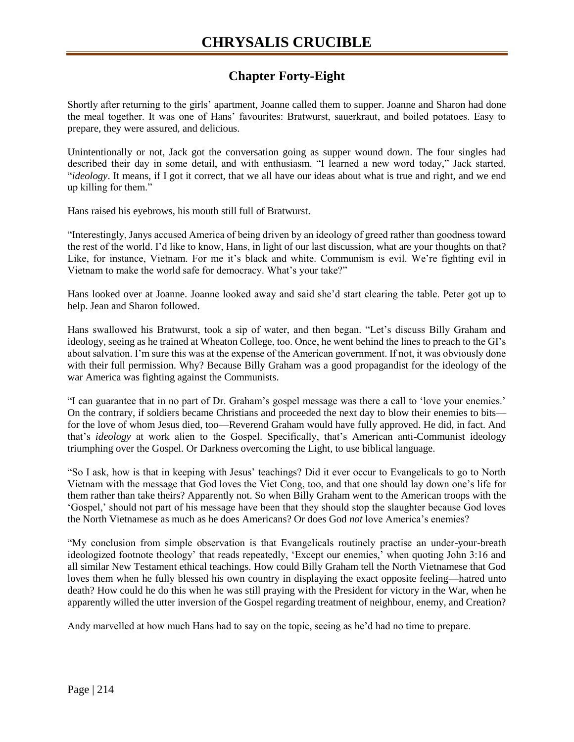## **Chapter Forty-Eight**

Shortly after returning to the girls' apartment, Joanne called them to supper. Joanne and Sharon had done the meal together. It was one of Hans' favourites: Bratwurst, sauerkraut, and boiled potatoes. Easy to prepare, they were assured, and delicious.

Unintentionally or not, Jack got the conversation going as supper wound down. The four singles had described their day in some detail, and with enthusiasm. "I learned a new word today," Jack started, "*ideology*. It means, if I got it correct, that we all have our ideas about what is true and right, and we end up killing for them."

Hans raised his eyebrows, his mouth still full of Bratwurst.

"Interestingly, Janys accused America of being driven by an ideology of greed rather than goodness toward the rest of the world. I'd like to know, Hans, in light of our last discussion, what are your thoughts on that? Like, for instance, Vietnam. For me it's black and white. Communism is evil. We're fighting evil in Vietnam to make the world safe for democracy. What's your take?"

Hans looked over at Joanne. Joanne looked away and said she'd start clearing the table. Peter got up to help. Jean and Sharon followed.

Hans swallowed his Bratwurst, took a sip of water, and then began. "Let's discuss Billy Graham and ideology, seeing as he trained at Wheaton College, too. Once, he went behind the lines to preach to the GI's about salvation. I'm sure this was at the expense of the American government. If not, it was obviously done with their full permission. Why? Because Billy Graham was a good propagandist for the ideology of the war America was fighting against the Communists.

"I can guarantee that in no part of Dr. Graham's gospel message was there a call to 'love your enemies.' On the contrary, if soldiers became Christians and proceeded the next day to blow their enemies to bits for the love of whom Jesus died, too—Reverend Graham would have fully approved. He did, in fact. And that's *ideology* at work alien to the Gospel. Specifically, that's American anti-Communist ideology triumphing over the Gospel. Or Darkness overcoming the Light, to use biblical language.

"So I ask, how is that in keeping with Jesus' teachings? Did it ever occur to Evangelicals to go to North Vietnam with the message that God loves the Viet Cong, too, and that one should lay down one's life for them rather than take theirs? Apparently not. So when Billy Graham went to the American troops with the 'Gospel,' should not part of his message have been that they should stop the slaughter because God loves the North Vietnamese as much as he does Americans? Or does God *not* love America's enemies?

"My conclusion from simple observation is that Evangelicals routinely practise an under-your-breath ideologized footnote theology' that reads repeatedly, 'Except our enemies,' when quoting John 3:16 and all similar New Testament ethical teachings. How could Billy Graham tell the North Vietnamese that God loves them when he fully blessed his own country in displaying the exact opposite feeling—hatred unto death? How could he do this when he was still praying with the President for victory in the War, when he apparently willed the utter inversion of the Gospel regarding treatment of neighbour, enemy, and Creation?

Andy marvelled at how much Hans had to say on the topic, seeing as he'd had no time to prepare.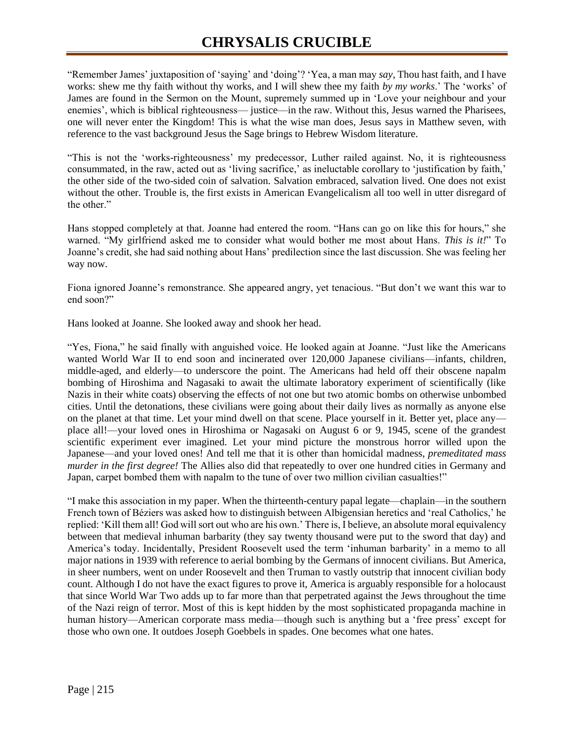## **CHRYSALIS CRUCIBLE**

"Remember James' juxtaposition of 'saying' and 'doing'? 'Yea, a man may *say*, Thou hast faith, and I have works: shew me thy faith without thy works, and I will shew thee my faith *by my works*.' The 'works' of James are found in the Sermon on the Mount, supremely summed up in 'Love your neighbour and your enemies', which is biblical righteousness— justice—in the raw. Without this, Jesus warned the Pharisees, one will never enter the Kingdom! This is what the wise man does, Jesus says in Matthew seven, with reference to the vast background Jesus the Sage brings to Hebrew Wisdom literature.

"This is not the 'works-righteousness' my predecessor, Luther railed against. No, it is righteousness consummated, in the raw, acted out as 'living sacrifice,' as ineluctable corollary to 'justification by faith,' the other side of the two-sided coin of salvation. Salvation embraced, salvation lived. One does not exist without the other. Trouble is, the first exists in American Evangelicalism all too well in utter disregard of the other."

Hans stopped completely at that. Joanne had entered the room. "Hans can go on like this for hours," she warned. "My girlfriend asked me to consider what would bother me most about Hans. *This is it!*" To Joanne's credit, she had said nothing about Hans' predilection since the last discussion. She was feeling her way now.

Fiona ignored Joanne's remonstrance. She appeared angry, yet tenacious. "But don't we want this war to end soon?"

Hans looked at Joanne. She looked away and shook her head.

"Yes, Fiona," he said finally with anguished voice. He looked again at Joanne. "Just like the Americans wanted World War II to end soon and incinerated over 120,000 Japanese civilians—infants, children, middle-aged, and elderly—to underscore the point. The Americans had held off their obscene napalm bombing of Hiroshima and Nagasaki to await the ultimate laboratory experiment of scientifically (like Nazis in their white coats) observing the effects of not one but two atomic bombs on otherwise unbombed cities. Until the detonations, these civilians were going about their daily lives as normally as anyone else on the planet at that time. Let your mind dwell on that scene. Place yourself in it. Better yet, place any place all!—your loved ones in Hiroshima or Nagasaki on August 6 or 9, 1945, scene of the grandest scientific experiment ever imagined. Let your mind picture the monstrous horror willed upon the Japanese—and your loved ones! And tell me that it is other than homicidal madness, *premeditated mass murder in the first degree!* The Allies also did that repeatedly to over one hundred cities in Germany and Japan, carpet bombed them with napalm to the tune of over two million civilian casualties!"

"I make this association in my paper. When the thirteenth-century papal legate—chaplain—in the southern French town of Béziers was asked how to distinguish between Albigensian heretics and 'real Catholics,' he replied: 'Kill them all! God will sort out who are his own.' There is, I believe, an absolute moral equivalency between that medieval inhuman barbarity (they say twenty thousand were put to the sword that day) and America's today. Incidentally, President Roosevelt used the term 'inhuman barbarity' in a memo to all major nations in 1939 with reference to aerial bombing by the Germans of innocent civilians. But America, in sheer numbers, went on under Roosevelt and then Truman to vastly outstrip that innocent civilian body count. Although I do not have the exact figures to prove it, America is arguably responsible for a holocaust that since World War Two adds up to far more than that perpetrated against the Jews throughout the time of the Nazi reign of terror. Most of this is kept hidden by the most sophisticated propaganda machine in human history—American corporate mass media—though such is anything but a 'free press' except for those who own one. It outdoes Joseph Goebbels in spades. One becomes what one hates.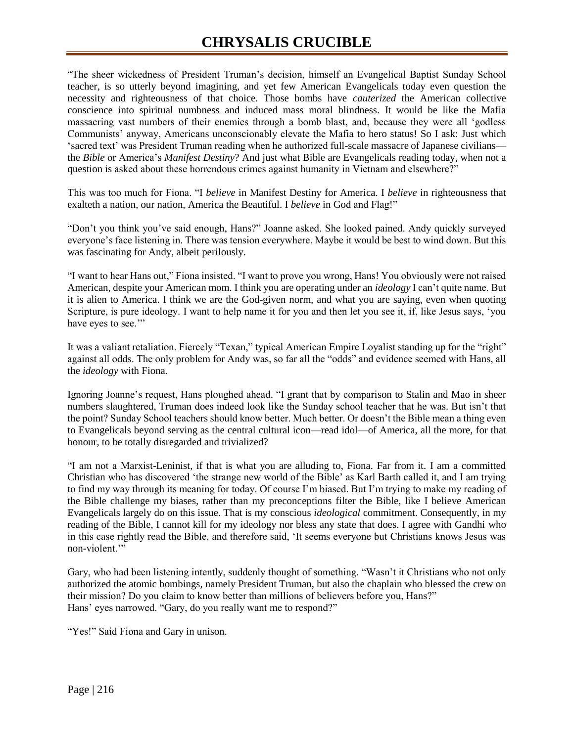"The sheer wickedness of President Truman's decision, himself an Evangelical Baptist Sunday School teacher, is so utterly beyond imagining, and yet few American Evangelicals today even question the necessity and righteousness of that choice. Those bombs have *cauterized* the American collective conscience into spiritual numbness and induced mass moral blindness. It would be like the Mafia massacring vast numbers of their enemies through a bomb blast, and, because they were all 'godless Communists' anyway, Americans unconscionably elevate the Mafia to hero status! So I ask: Just which 'sacred text' was President Truman reading when he authorized full-scale massacre of Japanese civilians the *Bible* or America's *Manifest Destiny*? And just what Bible are Evangelicals reading today, when not a question is asked about these horrendous crimes against humanity in Vietnam and elsewhere?"

This was too much for Fiona. "I *believe* in Manifest Destiny for America. I *believe* in righteousness that exalteth a nation, our nation, America the Beautiful. I *believe* in God and Flag!"

"Don't you think you've said enough, Hans?" Joanne asked. She looked pained. Andy quickly surveyed everyone's face listening in. There was tension everywhere. Maybe it would be best to wind down. But this was fascinating for Andy, albeit perilously.

"I want to hear Hans out," Fiona insisted. "I want to prove you wrong, Hans! You obviously were not raised American, despite your American mom. I think you are operating under an *ideology* I can't quite name. But it is alien to America. I think we are the God-given norm, and what you are saying, even when quoting Scripture, is pure ideology. I want to help name it for you and then let you see it, if, like Jesus says, 'you have eyes to see.""

It was a valiant retaliation. Fiercely "Texan," typical American Empire Loyalist standing up for the "right" against all odds. The only problem for Andy was, so far all the "odds" and evidence seemed with Hans, all the *ideology* with Fiona.

Ignoring Joanne's request, Hans ploughed ahead. "I grant that by comparison to Stalin and Mao in sheer numbers slaughtered, Truman does indeed look like the Sunday school teacher that he was. But isn't that the point? Sunday School teachers should know better. Much better. Or doesn't the Bible mean a thing even to Evangelicals beyond serving as the central cultural icon—read idol—of America, all the more, for that honour, to be totally disregarded and trivialized?

"I am not a Marxist-Leninist, if that is what you are alluding to, Fiona. Far from it. I am a committed Christian who has discovered 'the strange new world of the Bible' as Karl Barth called it, and I am trying to find my way through its meaning for today. Of course I'm biased. But I'm trying to make my reading of the Bible challenge my biases, rather than my preconceptions filter the Bible, like I believe American Evangelicals largely do on this issue. That is my conscious *ideological* commitment. Consequently, in my reading of the Bible, I cannot kill for my ideology nor bless any state that does. I agree with Gandhi who in this case rightly read the Bible, and therefore said, 'It seems everyone but Christians knows Jesus was non-violent.'"

Gary, who had been listening intently, suddenly thought of something. "Wasn't it Christians who not only authorized the atomic bombings, namely President Truman, but also the chaplain who blessed the crew on their mission? Do you claim to know better than millions of believers before you, Hans?" Hans' eyes narrowed. "Gary, do you really want me to respond?"

"Yes!" Said Fiona and Gary in unison.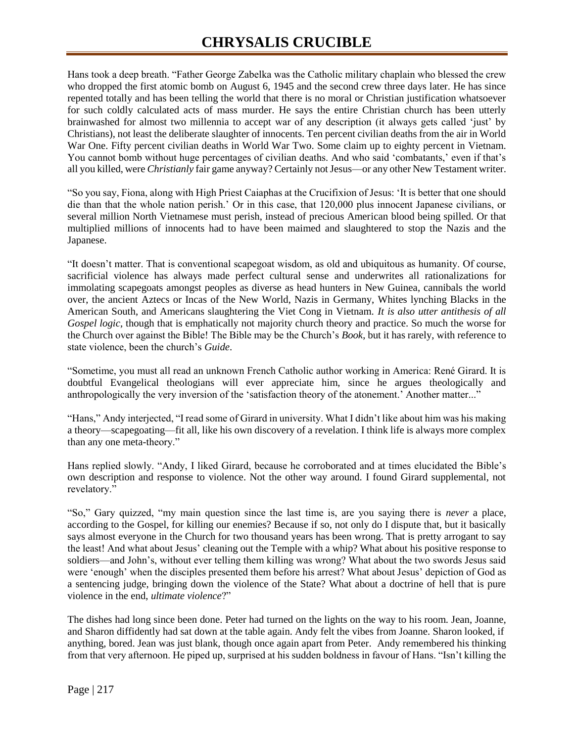Hans took a deep breath. "Father George Zabelka was the Catholic military chaplain who blessed the crew who dropped the first atomic bomb on August 6, 1945 and the second crew three days later. He has since repented totally and has been telling the world that there is no moral or Christian justification whatsoever for such coldly calculated acts of mass murder. He says the entire Christian church has been utterly brainwashed for almost two millennia to accept war of any description (it always gets called 'just' by Christians), not least the deliberate slaughter of innocents. Ten percent civilian deaths from the air in World War One. Fifty percent civilian deaths in World War Two. Some claim up to eighty percent in Vietnam. You cannot bomb without huge percentages of civilian deaths. And who said 'combatants,' even if that's all you killed, were *Christianly* fair game anyway? Certainly not Jesus—or any other New Testament writer.

"So you say, Fiona, along with High Priest Caiaphas at the Crucifixion of Jesus: 'It is better that one should die than that the whole nation perish.' Or in this case, that 120,000 plus innocent Japanese civilians, or several million North Vietnamese must perish, instead of precious American blood being spilled. Or that multiplied millions of innocents had to have been maimed and slaughtered to stop the Nazis and the Japanese.

"It doesn't matter. That is conventional scapegoat wisdom, as old and ubiquitous as humanity. Of course, sacrificial violence has always made perfect cultural sense and underwrites all rationalizations for immolating scapegoats amongst peoples as diverse as head hunters in New Guinea, cannibals the world over, the ancient Aztecs or Incas of the New World, Nazis in Germany, Whites lynching Blacks in the American South, and Americans slaughtering the Viet Cong in Vietnam. *It is also utter antithesis of all Gospel logic*, though that is emphatically not majority church theory and practice. So much the worse for the Church over against the Bible! The Bible may be the Church's *Book*, but it has rarely, with reference to state violence, been the church's *Guide*.

"Sometime, you must all read an unknown French Catholic author working in America: René Girard. It is doubtful Evangelical theologians will ever appreciate him, since he argues theologically and anthropologically the very inversion of the 'satisfaction theory of the atonement.' Another matter..."

"Hans," Andy interjected, "I read some of Girard in university. What I didn't like about him was his making a theory—scapegoating—fit all, like his own discovery of a revelation. I think life is always more complex than any one meta*-*theory."

Hans replied slowly. "Andy, I liked Girard, because he corroborated and at times elucidated the Bible's own description and response to violence. Not the other way around. I found Girard supplemental, not revelatory."

"So," Gary quizzed, "my main question since the last time is, are you saying there is *never* a place, according to the Gospel, for killing our enemies? Because if so, not only do I dispute that, but it basically says almost everyone in the Church for two thousand years has been wrong. That is pretty arrogant to say the least! And what about Jesus' cleaning out the Temple with a whip? What about his positive response to soldiers—and John's, without ever telling them killing was wrong? What about the two swords Jesus said were 'enough' when the disciples presented them before his arrest? What about Jesus' depiction of God as a sentencing judge, bringing down the violence of the State? What about a doctrine of hell that is pure violence in the end, *ultimate violence*?"

The dishes had long since been done. Peter had turned on the lights on the way to his room. Jean, Joanne, and Sharon diffidently had sat down at the table again. Andy felt the vibes from Joanne. Sharon looked, if anything, bored. Jean was just blank, though once again apart from Peter. Andy remembered his thinking from that very afternoon. He piped up, surprised at his sudden boldness in favour of Hans. "Isn't killing the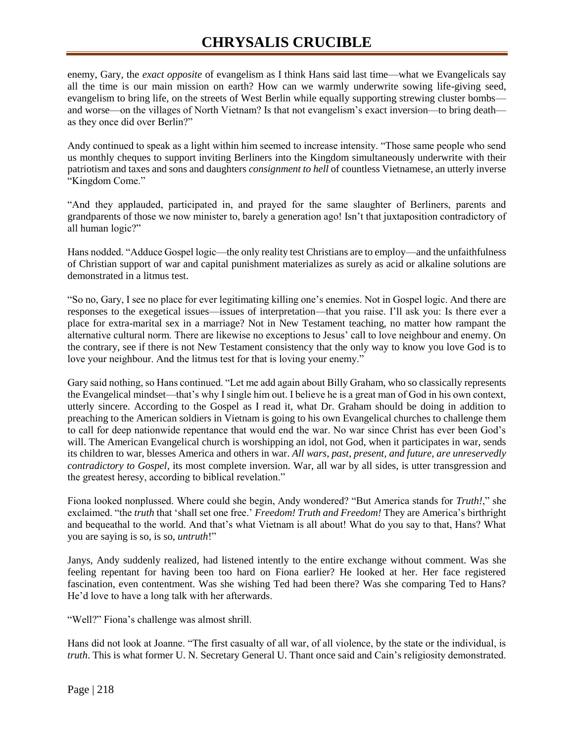## **CHRYSALIS CRUCIBLE**

enemy, Gary, the *exact opposite* of evangelism as I think Hans said last time—what we Evangelicals say all the time is our main mission on earth? How can we warmly underwrite sowing life-giving seed, evangelism to bring life, on the streets of West Berlin while equally supporting strewing cluster bombs and worse—on the villages of North Vietnam? Is that not evangelism's exact inversion—to bring death as they once did over Berlin?"

Andy continued to speak as a light within him seemed to increase intensity. "Those same people who send us monthly cheques to support inviting Berliners into the Kingdom simultaneously underwrite with their patriotism and taxes and sons and daughters *consignment to hell* of countless Vietnamese, an utterly inverse "Kingdom Come."

"And they applauded, participated in, and prayed for the same slaughter of Berliners, parents and grandparents of those we now minister to, barely a generation ago! Isn't that juxtaposition contradictory of all human logic?"

Hans nodded. "Adduce Gospel logic—the only reality test Christians are to employ—and the unfaithfulness of Christian support of war and capital punishment materializes as surely as acid or alkaline solutions are demonstrated in a litmus test.

"So no, Gary, I see no place for ever legitimating killing one's enemies. Not in Gospel logic. And there are responses to the exegetical issues—issues of interpretation—that you raise. I'll ask you: Is there ever a place for extra-marital sex in a marriage? Not in New Testament teaching, no matter how rampant the alternative cultural norm. There are likewise no exceptions to Jesus' call to love neighbour and enemy. On the contrary, see if there is not New Testament consistency that the only way to know you love God is to love your neighbour. And the litmus test for that is loving your enemy."

Gary said nothing, so Hans continued. "Let me add again about Billy Graham, who so classically represents the Evangelical mindset—that's why I single him out. I believe he is a great man of God in his own context, utterly sincere. According to the Gospel as I read it, what Dr. Graham should be doing in addition to preaching to the American soldiers in Vietnam is going to his own Evangelical churches to challenge them to call for deep nationwide repentance that would end the war. No war since Christ has ever been God's will. The American Evangelical church is worshipping an idol, not God, when it participates in war, sends its children to war, blesses America and others in war. *All wars, past, present, and future, are unreservedly contradictory to Gospel*, its most complete inversion. War, all war by all sides, is utter transgression and the greatest heresy, according to biblical revelation."

Fiona looked nonplussed. Where could she begin, Andy wondered? "But America stands for *Truth!*," she exclaimed. "the *truth* that 'shall set one free.' *Freedom! Truth and Freedom!* They are America's birthright and bequeathal to the world. And that's what Vietnam is all about! What do you say to that, Hans? What you are saying is so, is so, *untruth*!"

Janys, Andy suddenly realized, had listened intently to the entire exchange without comment. Was she feeling repentant for having been too hard on Fiona earlier? He looked at her. Her face registered fascination, even contentment. Was she wishing Ted had been there? Was she comparing Ted to Hans? He'd love to have a long talk with her afterwards.

"Well?" Fiona's challenge was almost shrill.

Hans did not look at Joanne. "The first casualty of all war, of all violence, by the state or the individual, is *truth*. This is what former U. N. Secretary General U. Thant once said and Cain's religiosity demonstrated.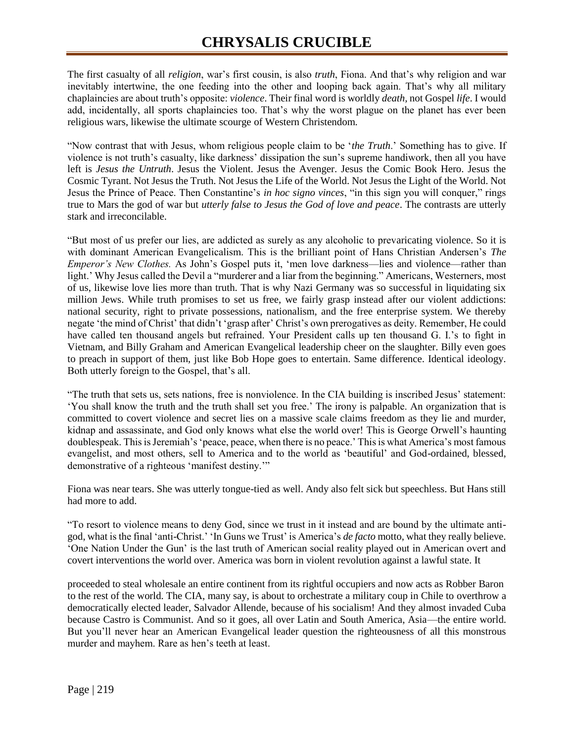The first casualty of all *religion*, war's first cousin, is also *truth*, Fiona. And that's why religion and war inevitably intertwine, the one feeding into the other and looping back again. That's why all military chaplaincies are about truth's opposite: *violence*. Their final word is worldly *death,* not Gospel *life*. I would add, incidentally, all sports chaplaincies too. That's why the worst plague on the planet has ever been religious wars, likewise the ultimate scourge of Western Christendom.

"Now contrast that with Jesus, whom religious people claim to be '*the Truth*.' Something has to give. If violence is not truth's casualty, like darkness' dissipation the sun's supreme handiwork, then all you have left is *Jesus the Untruth*. Jesus the Violent. Jesus the Avenger. Jesus the Comic Book Hero. Jesus the Cosmic Tyrant. Not Jesus the Truth. Not Jesus the Life of the World. Not Jesus the Light of the World. Not Jesus the Prince of Peace. Then Constantine's *in hoc signo vinces*, "in this sign you will conquer," rings true to Mars the god of war but *utterly false to Jesus the God of love and peace*. The contrasts are utterly stark and irreconcilable.

"But most of us prefer our lies, are addicted as surely as any alcoholic to prevaricating violence. So it is with dominant American Evangelicalism. This is the brilliant point of Hans Christian Andersen's *The Emperor's New Clothes.* As John's Gospel puts it, 'men love darkness—lies and violence—rather than light.' Why Jesus called the Devil a "murderer and a liar from the beginning." Americans, Westerners, most of us, likewise love lies more than truth. That is why Nazi Germany was so successful in liquidating six million Jews. While truth promises to set us free, we fairly grasp instead after our violent addictions: national security, right to private possessions, nationalism, and the free enterprise system. We thereby negate 'the mind of Christ' that didn't 'grasp after' Christ's own prerogatives as deity. Remember, He could have called ten thousand angels but refrained. Your President calls up ten thousand G. I.'s to fight in Vietnam, and Billy Graham and American Evangelical leadership cheer on the slaughter. Billy even goes to preach in support of them, just like Bob Hope goes to entertain. Same difference. Identical ideology. Both utterly foreign to the Gospel, that's all.

"The truth that sets us, sets nations, free is nonviolence. In the CIA building is inscribed Jesus' statement: 'You shall know the truth and the truth shall set you free.' The irony is palpable. An organization that is committed to covert violence and secret lies on a massive scale claims freedom as they lie and murder, kidnap and assassinate, and God only knows what else the world over! This is George Orwell's haunting doublespeak. This is Jeremiah's 'peace, peace, when there is no peace.' This is what America's most famous evangelist, and most others, sell to America and to the world as 'beautiful' and God-ordained, blessed, demonstrative of a righteous 'manifest destiny.'"

Fiona was near tears. She was utterly tongue-tied as well. Andy also felt sick but speechless. But Hans still had more to add.

"To resort to violence means to deny God, since we trust in it instead and are bound by the ultimate antigod, what is the final 'anti-Christ.' 'In Guns we Trust' is America's *de facto* motto, what they really believe. 'One Nation Under the Gun' is the last truth of American social reality played out in American overt and covert interventions the world over. America was born in violent revolution against a lawful state. It

proceeded to steal wholesale an entire continent from its rightful occupiers and now acts as Robber Baron to the rest of the world. The CIA, many say, is about to orchestrate a military coup in Chile to overthrow a democratically elected leader, Salvador Allende, because of his socialism! And they almost invaded Cuba because Castro is Communist. And so it goes, all over Latin and South America, Asia—the entire world. But you'll never hear an American Evangelical leader question the righteousness of all this monstrous murder and mayhem. Rare as hen's teeth at least.